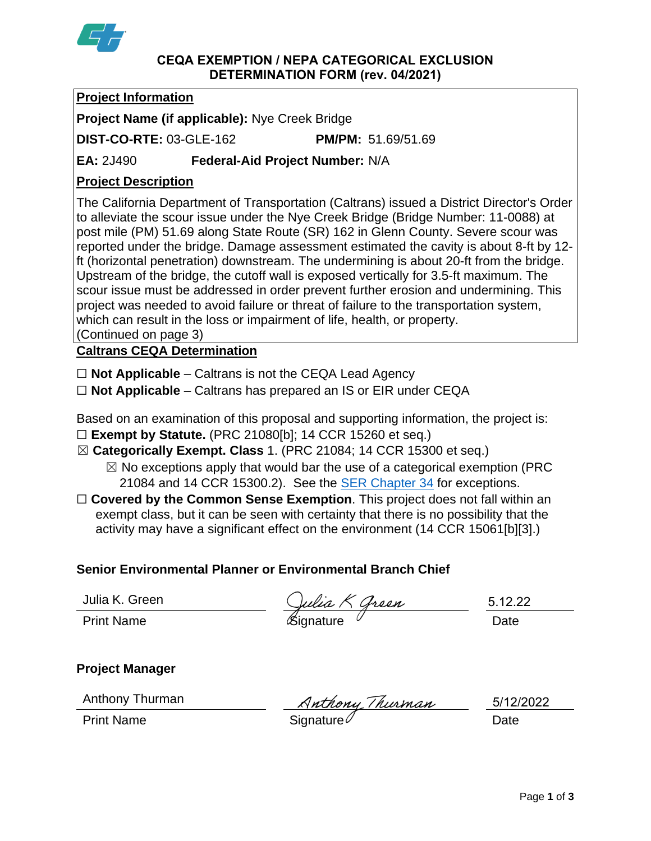

#### **CEQA EXEMPTION / NEPA CATEGORICAL EXCLUSION DETERMINATION FORM (rev. 04/2021)**

# **Project Information**

**Project Name (if applicable):** Nye Creek Bridge

**DIST-CO-RTE:** 03-GLE-162 **PM/PM:** 51.69/51.69

**EA:** 2J490 **Federal-Aid Project Number:** N/A

# **Project Description**

The California Department of Transportation (Caltrans) issued a District Director's Order to alleviate the scour issue under the Nye Creek Bridge (Bridge Number: 11-0088) at post mile (PM) 51.69 along State Route (SR) 162 in Glenn County. Severe scour was reported under the bridge. Damage assessment estimated the cavity is about 8-ft by 12 ft (horizontal penetration) downstream. The undermining is about 20-ft from the bridge. Upstream of the bridge, the cutoff wall is exposed vertically for 3.5-ft maximum. The scour issue must be addressed in order prevent further erosion and undermining. This project was needed to avoid failure or threat of failure to the transportation system, which can result in the loss or impairment of life, health, or property. (Continued on page 3)

**Caltrans CEQA Determination**

☐ **Not Applicable** – Caltrans is not the CEQA Lead Agency

☐ **Not Applicable** – Caltrans has prepared an IS or EIR under CEQA

Based on an examination of this proposal and supporting information, the project is: ☐ **Exempt by Statute.** (PRC 21080[b]; 14 CCR 15260 et seq.)

☒ **Categorically Exempt. Class** 1. (PRC 21084; 14 CCR 15300 et seq.)

 $\boxtimes$  No exceptions apply that would bar the use of a categorical exemption (PRC 21084 and 14 CCR 15300.2). See the **SER Chapter 34** for exceptions.

□ **Covered by the Common Sense Exemption**. This project does not fall within an exempt class, but it can be seen with certainty that there is no possibility that the activity may have a significant effect on the environment (14 CCR 15061[b][3].)

# **Senior Environmental Planner or Environmental Branch Chief**

Julia K. Green

Julia K. Green  $\frac{C_{\mu\nu}R \times G_{\nu\alpha}R}{\sigma}$  5.12.2

5.12.22

**Project Manager**

Anthony Thurman

Anthony Thurman Muthony Thurman 5/12/<br>Print Name Signature

5/12/2022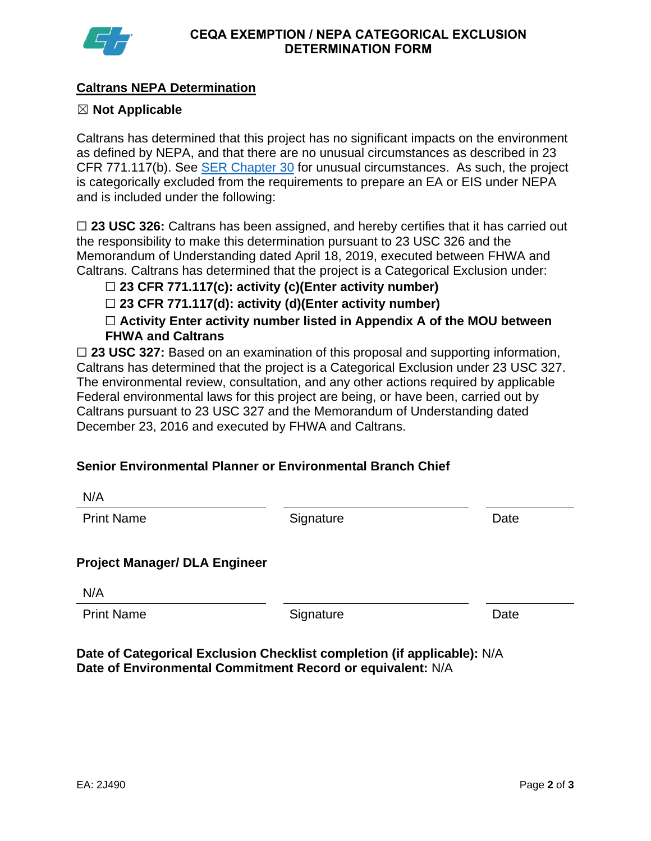

## **Caltrans NEPA Determination**

### ☒ **Not Applicable**

Caltrans has determined that this project has no significant impacts on the environment as defined by NEPA, and that there are no unusual circumstances as described in 23 CFR 771.117(b). See **SER Chapter 30** for unusual circumstances. As such, the project is categorically excluded from the requirements to prepare an EA or EIS under NEPA and is included under the following:

□ 23 USC 326: Caltrans has been assigned, and hereby certifies that it has carried out the responsibility to make this determination pursuant to 23 USC 326 and the Memorandum of Understanding dated April 18, 2019, executed between FHWA and Caltrans. Caltrans has determined that the project is a Categorical Exclusion under:

☐ **23 CFR 771.117(c): activity (c)(Enter activity number)**

☐ **23 CFR 771.117(d): activity (d)(Enter activity number)**

☐ **Activity Enter activity number listed in Appendix A of the MOU between FHWA and Caltrans**

□ 23 USC 327: Based on an examination of this proposal and supporting information, Caltrans has determined that the project is a Categorical Exclusion under 23 USC 327. The environmental review, consultation, and any other actions required by applicable Federal environmental laws for this project are being, or have been, carried out by Caltrans pursuant to 23 USC 327 and the Memorandum of Understanding dated December 23, 2016 and executed by FHWA and Caltrans.

## **Senior Environmental Planner or Environmental Branch Chief**

| IN/M                                 |           |      |
|--------------------------------------|-----------|------|
| <b>Print Name</b>                    | Signature | Date |
| <b>Project Manager/ DLA Engineer</b> |           |      |
| N/A                                  |           |      |
| <b>Print Name</b>                    | Signature | Date |
|                                      |           |      |

**Date of Categorical Exclusion Checklist completion (if applicable):** N/A **Date of Environmental Commitment Record or equivalent:** N/A

N/A